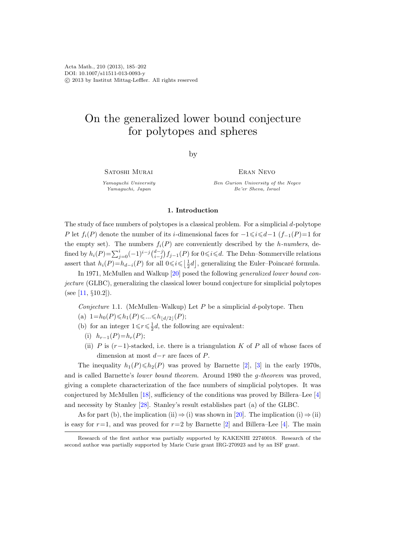# On the generalized lower bound conjecture for polytopes and spheres

by

SATOSHI MURAI

Yamaguchi University Yamaguchi, Japan

Eran Nevo Ben Gurion University of the Negev Be'er Sheva, Israel

## 1. Introduction

The study of face numbers of polytopes is a classical problem. For a simplicial  $d$ -polytope P let  $f_i(P)$  denote the number of its i-dimensional faces for  $-1 \leq i \leq d-1$  (f<sub>-1</sub>(P)=1 for the empty set). The numbers  $f_i(P)$  are conveniently described by the h-numbers, defined by  $h_i(P) = \sum_{j=0}^i (-1)^{i-j} {d-j \choose i-j} f_{j-1}(P)$  for  $0 \leq i \leq d$ . The Dehn–Sommerville relations assert that  $h_i(P) = h_{d-i}(P)$  for all  $0 \leq i \leq \lfloor \frac{1}{2}d \rfloor$ , generalizing the Euler–Poincaré formula.

In 1971, McMullen and Walkup [\[20\]](#page-16-0) posed the following generalized lower bound conjecture (GLBC), generalizing the classical lower bound conjecture for simplicial polytopes (see [\[11,](#page-16-1)  $\S 10.2$ ]).

<span id="page-0-0"></span>Conjecture 1.1. (McMullen–Walkup) Let  $P$  be a simplicial d-polytope. Then

- (a)  $1=h_0(P)\leq h_1(P)\leq \ldots \leq h_{\lfloor d/2\rfloor}(P);$
- (b) for an integer  $1 \leq r \leq \frac{1}{2}d$ , the following are equivalent:
	- (i)  $h_{r-1}(P)=h_r(P);$
	- (ii) P is  $(r-1)$ -stacked, i.e. there is a triangulation K of P all of whose faces of dimension at most  $d-r$  are faces of P.

The inequality  $h_1(P) \le h_2(P)$  was proved by Barnette [\[2\]](#page-16-2), [\[3\]](#page-16-3) in the early 1970s, and is called Barnette's lower bound theorem. Around 1980 the g-theorem was proved, giving a complete characterization of the face numbers of simplicial polytopes. It was conjectured by McMullen [\[18\]](#page-16-4), sufficiency of the conditions was proved by Billera–Lee [\[4\]](#page-16-5) and necessity by Stanley [\[28\]](#page-17-0). Stanley's result establishes part (a) of the GLBC.

As for part (b), the implication (ii)  $\Rightarrow$  (i) was shown in [\[20\]](#page-16-0). The implication (i)  $\Rightarrow$  (ii) is easy for  $r=1$ , and was proved for  $r=2$  by Barnette [\[2\]](#page-16-2) and Billera–Lee [\[4\]](#page-16-5). The main

Research of the first author was partially supported by KAKENHI 22740018. Research of the second author was partially supported by Marie Curie grant IRG-270923 and by an ISF grant.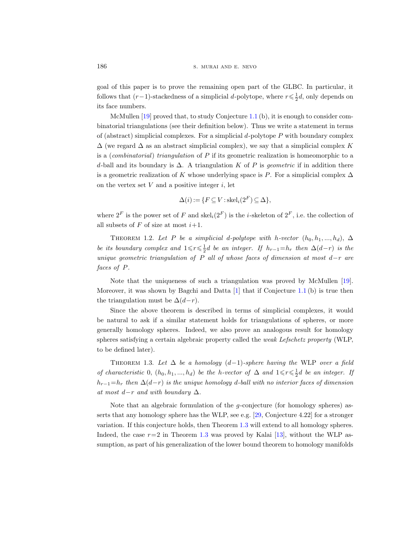goal of this paper is to prove the remaining open part of the GLBC. In particular, it follows that  $(r-1)$ -stackedness of a simplicial d-polytope, where  $r \leq \frac{1}{2}d$ , only depends on its face numbers.

McMullen [\[19\]](#page-16-6) proved that, to study Conjecture [1.1](#page-0-0) (b), it is enough to consider combinatorial triangulations (see their definition below). Thus we write a statement in terms of (abstract) simplicial complexes. For a simplicial  $d$ -polytope P with boundary complex  $\Delta$  (we regard  $\Delta$  as an abstract simplicial complex), we say that a simplicial complex K is a (combinatorial) triangulation of P if its geometric realization is homeomorphic to a d-ball and its boundary is  $\Delta$ . A triangulation K of P is geometric if in addition there is a geometric realization of K whose underlying space is P. For a simplicial complex  $\Delta$ on the vertex set  $V$  and a positive integer  $i$ , let

$$
\Delta(i) := \{ F \subseteq V : \operatorname{skel}_i(2^F) \subseteq \Delta \},
$$

where  $2^F$  is the power set of F and skel<sub>i</sub> $(2^F)$  is the *i*-skeleton of  $2^F$ , i.e. the collection of all subsets of F of size at most  $i+1$ .

<span id="page-1-1"></span>THEOREM 1.2. Let P be a simplicial d-polytope with h-vector  $(h_0, h_1, ..., h_d)$ ,  $\Delta$ be its boundary complex and  $1 \leq r \leq \frac{1}{2}d$  be an integer. If  $h_{r-1} = h_r$  then  $\Delta(d-r)$  is the unique geometric triangulation of P all of whose faces of dimension at most  $d-r$  are faces of P.

Note that the uniqueness of such a triangulation was proved by McMullen [\[19\]](#page-16-6). Moreover, it was shown by Bagchi and Datta  $[1]$  that if Conjecture [1.1](#page-0-0) (b) is true then the triangulation must be  $\Delta(d-r)$ .

Since the above theorem is described in terms of simplicial complexes, it would be natural to ask if a similar statement holds for triangulations of spheres, or more generally homology spheres. Indeed, we also prove an analogous result for homology spheres satisfying a certain algebraic property called the weak Lefschetz property (WLP, to be defined later).

<span id="page-1-0"></span>THEOREM 1.3. Let  $\Delta$  be a homology (d-1)-sphere having the WLP over a field of characteristic 0,  $(h_0, h_1, ..., h_d)$  be the h-vector of  $\Delta$  and  $1 \leq r \leq \frac{1}{2}d$  be an integer. If  $h_{r-1}=h_r$  then  $\Delta(d-r)$  is the unique homology d-ball with no interior faces of dimension at most  $d-r$  and with boundary  $\Delta$ .

Note that an algebraic formulation of the  $g$ -conjecture (for homology spheres) asserts that any homology sphere has the WLP, see e.g. [\[29,](#page-17-1) Conjecture 4.22] for a stronger variation. If this conjecture holds, then Theorem [1.3](#page-1-0) will extend to all homology spheres. Indeed, the case  $r=2$  in Theorem [1.3](#page-1-0) was proved by Kalai [\[13\]](#page-16-8), without the WLP assumption, as part of his generalization of the lower bound theorem to homology manifolds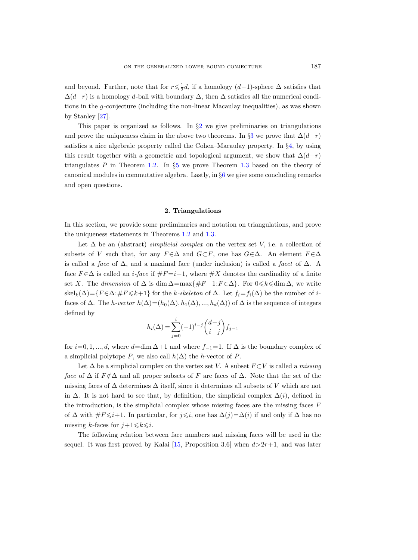and beyond. Further, note that for  $r \leq \frac{1}{2}d$ , if a homology  $(d-1)$ -sphere  $\Delta$  satisfies that  $\Delta(d-r)$  is a homology d-ball with boundary  $\Delta$ , then  $\Delta$  satisfies all the numerical conditions in the g-conjecture (including the non-linear Macaulay inequalities), as was shown by Stanley [\[27\]](#page-17-2).

This paper is organized as follows. In  $\S2$  $\S2$  we give preliminaries on triangulations and prove the uniqueness claim in the above two theorems. In §[3](#page-4-0) we prove that  $\Delta(d-r)$ satisfies a nice algebraic property called the Cohen–Macaulay property. In §[4,](#page-9-0) by using this result together with a geometric and topological argument, we show that  $\Delta(d-r)$ triangulates P in Theorem [1.2.](#page-1-1) In  $\S5$  $\S5$  we prove Theorem [1.3](#page-1-0) based on the theory of canonical modules in commutative algebra. Lastly, in §[6](#page-14-0) we give some concluding remarks and open questions.

#### 2. Triangulations

<span id="page-2-0"></span>In this section, we provide some preliminaries and notation on triangulations, and prove the uniqueness statements in Theorems [1.2](#page-1-1) and [1.3.](#page-1-0)

Let  $\Delta$  be an (abstract) *simplicial complex* on the vertex set V, i.e. a collection of subsets of V such that, for any  $F \in \Delta$  and  $G \subset F$ , one has  $G \in \Delta$ . An element  $F \in \Delta$ is called a face of  $\Delta$ , and a maximal face (under inclusion) is called a facet of  $\Delta$ . A face  $F \in \Delta$  is called an *i-face* if  $\#F = i+1$ , where  $\#X$  denotes the cardinality of a finite set X. The dimension of  $\Delta$  is dim  $\Delta = \max\{\#F - 1: F \in \Delta\}$ . For  $0 \le k \le \dim \Delta$ , we write skel<sub>k</sub>( $\Delta$ )={F ∈ $\Delta$ :#F ≤k+1} for the k-skeleton of  $\Delta$ . Let  $f_i = f_i(\Delta)$  be the number of ifaces of  $\Delta$ . The *h-vector*  $h(\Delta) = (h_0(\Delta), h_1(\Delta), ..., h_d(\Delta))$  of  $\Delta$  is the sequence of integers defined by

$$
h_i(\Delta) = \sum_{j=0}^i (-1)^{i-j} \binom{d-j}{i-j} f_{j-1}
$$

for  $i=0, 1, ..., d$ , where  $d=\dim \Delta+1$  and where  $f_{-1}=1$ . If  $\Delta$  is the boundary complex of a simplicial polytope P, we also call  $h(\Delta)$  the h-vector of P.

Let  $\Delta$  be a simplicial complex on the vertex set V. A subset  $F \subset V$  is called a *missing* face of  $\Delta$  if  $F \notin \Delta$  and all proper subsets of F are faces of  $\Delta$ . Note that the set of the missing faces of  $\Delta$  determines  $\Delta$  itself, since it determines all subsets of V which are not in  $\Delta$ . It is not hard to see that, by definition, the simplicial complex  $\Delta(i)$ , defined in the introduction, is the simplicial complex whose missing faces are the missing faces F of  $\Delta$  with  $\#F \leq i+1$ . In particular, for  $j \leq i$ , one has  $\Delta(j)=\Delta(i)$  if and only if  $\Delta$  has no missing k-faces for  $j+1 \leq k \leq i$ .

The following relation between face numbers and missing faces will be used in the sequel. It was first proved by Kalai [\[15,](#page-16-9) Proposition 3.6] when  $d>2r+1$ , and was later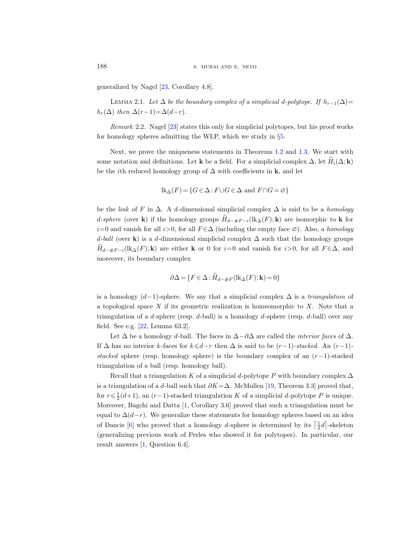generalized by Nagel [\[23,](#page-16-10) Corollary 4.8].

<span id="page-3-1"></span>LEMMA 2.1. Let  $\Delta$  be the boundary complex of a simplicial d-polytope. If  $h_{r-1}(\Delta)$ =  $h_r(\Delta)$  then  $\Delta(r-1)=\Delta(d-r)$ .

<span id="page-3-2"></span>Remark 2.2. Nagel [\[23\]](#page-16-10) states this only for simplicial polytopes, but his proof works for homology spheres admitting the WLP, which we study in §[5.](#page-10-0)

Next, we prove the uniqueness statements in Theorems [1.2](#page-1-1) and [1.3.](#page-1-0) We start with some notation and definitions. Let **k** be a field. For a simplicial complex  $\Delta$ , let  $H_i(\Delta; \mathbf{k})$ be the *i*th reduced homology group of  $\Delta$  with coefficients in **k**, and let

$$
lk_{\Delta}(F) = \{ G \in \Delta : F \cup G \in \Delta \text{ and } F \cap G = \varnothing \}
$$

be the *link* of F in  $\Delta$ . A d-dimensional simplicial complex  $\Delta$  is said to be a *homology* d-sphere (over k) if the homology groups  $H_{d-\#F-i}(\text{lk}_{\Delta}(F); \mathbf{k})$  are isomorphic to k for  $i=0$  and vanish for all  $i>0$ , for all  $F \in \Delta$  (including the empty face  $\varnothing$ ). Also, a *homology* d-ball (over k) is a d-dimensional simplicial complex  $\Delta$  such that the homology groups  $H_{d-\#F-i}(\text{lk}_{\Delta}(F); \mathbf{k})$  are either **k** or 0 for *i*=0 and vanish for *i*>0, for all  $F \in \Delta$ , and moreover, its boundary complex

$$
\partial \Delta = \{ F \in \Delta : H_{d-\#F}(\text{lk}_{\Delta}(F); \mathbf{k}) = 0 \}
$$

is a homology  $(d-1)$ -sphere. We say that a simplicial complex  $\Delta$  is a triangulation of a topological space  $X$  if its geometric realization is homeomorphic to  $X$ . Note that a triangulation of a d-sphere (resp. d-ball) is a homology d-sphere (resp. d-ball) over any field. See e.g. [\[22,](#page-16-11) Lemma 63.2].

Let  $\Delta$  be a homology d-ball. The faces in  $\Delta-\partial\Delta$  are called the *interior faces* of  $\Delta$ . If  $\Delta$  has no interior k-faces for  $k \le d-r$  then  $\Delta$  is said to be  $(r-1)$ -stacked. An  $(r-1)$ stacked sphere (resp. homology sphere) is the boundary complex of an  $(r-1)$ -stacked triangulation of a ball (resp. homology ball).

<span id="page-3-0"></span>Recall that a triangulation K of a simplicial d-polytope P with boundary complex  $\Delta$ is a triangulation of a d-ball such that  $\partial K = \Delta$ . McMullen [\[19,](#page-16-6) Theorem 3.3] proved that, for  $r \leq \frac{1}{2}(d+1)$ , an  $(r-1)$ -stacked triangulation K of a simplicial d-polytope P is unique. Moreover, Bagchi and Datta [\[1,](#page-16-7) Corollary 3.6] proved that such a triangulation must be equal to  $\Delta(d-r)$ . We generalize these statements for homology spheres based on an idea of Dancis [\[6\]](#page-16-12) who proved that a homology d-sphere is determined by its  $\left[\frac{1}{2}d\right]$ -skeleton (generalizing previous work of Perles who showed it for polytopes). In particular, our result answers [\[1,](#page-16-7) Question 6.4].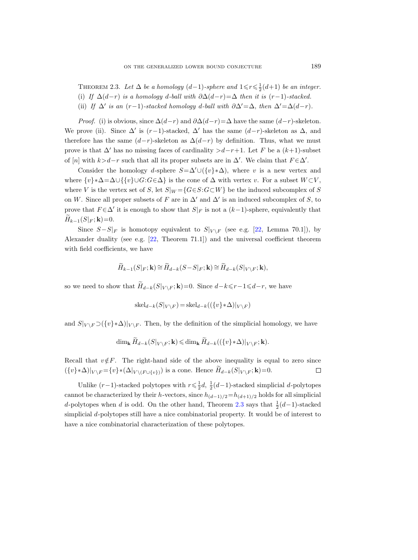THEOREM 2.3. Let  $\Delta$  be a homology (d-1)-sphere and  $1 \leq r \leq \frac{1}{2}(d+1)$  be an integer. (i) If  $\Delta(d-r)$  is a homology d-ball with  $\partial \Delta(d-r)=\Delta$  then it is  $(r-1)$ -stacked. (ii) If  $\Delta'$  is an  $(r-1)$ -stacked homology d-ball with  $\partial \Delta' = \Delta$ , then  $\Delta' = \Delta(d-r)$ .

*Proof.* (i) is obvious, since  $\Delta(d-r)$  and  $\partial \Delta(d-r) = \Delta$  have the same  $(d-r)$ -skeleton. We prove (ii). Since  $\Delta'$  is  $(r-1)$ -stacked,  $\Delta'$  has the same  $(d-r)$ -skeleton as  $\Delta$ , and therefore has the same  $(d-r)$ -skeleton as  $\Delta(d-r)$  by definition. Thus, what we must prove is that  $\Delta'$  has no missing faces of cardinality  $>d-r+1$ . Let F be a  $(k+1)$ -subset of [n] with  $k>d-r$  such that all its proper subsets are in  $\Delta'$ . We claim that  $F \in \Delta'$ .

Consider the homology d-sphere  $S=\Delta' \cup (\{v\}*\Delta)$ , where v is a new vertex and where  $\{v\}*\Delta=\Delta\cup\{\{v\}\cup G:G\in\Delta\}$  is the cone of  $\Delta$  with vertex v. For a subset  $W\subset V$ , where V is the vertex set of S, let  $S|_W = \{G \in S : G \subset W\}$  be the induced subcomplex of S on W. Since all proper subsets of F are in  $\Delta'$  and  $\Delta'$  is an induced subcomplex of S, to prove that  $F \in \Delta'$  it is enough to show that  $S|_F$  is not a  $(k-1)$ -sphere, equivalently that  $H_{k-1}(S|_F; \mathbf{k})=0.$ 

Since  $S-S|_F$  is homotopy equivalent to  $S|_{V \setminus F}$  (see e.g. [\[22,](#page-16-11) Lemma 70.1]), by Alexander duality (see e.g. [\[22,](#page-16-11) Theorem 71.1]) and the universal coefficient theorem with field coefficients, we have

$$
\widetilde{H}_{k-1}(S|_F; \mathbf{k}) \cong \widetilde{H}_{d-k}(S-S|_F; \mathbf{k}) \cong \widetilde{H}_{d-k}(S|_{V\setminus F}; \mathbf{k}),
$$

so we need to show that  $\widetilde{H}_{d-k}(S|_{V \setminus F}; \mathbf{k})=0$ . Since  $d-k \leq r-1 \leq d-r$ , we have

$$
skel_{d-k}(S|_{V\setminus F}) = skel_{d-k}((\{v\}*\Delta)|_{V\setminus F})
$$

and  $S|_{V \setminus F} \supset (\{v\} * \Delta)|_{V \setminus F}$ . Then, by the definition of the simplicial homology, we have

$$
\dim_{\mathbf{k}} \widetilde{H}_{d-k}(S|_{V\setminus F}; \mathbf{k}) \leq \dim_{\mathbf{k}} \widetilde{H}_{d-k}((\{v\}*\Delta)|_{V\setminus F}; \mathbf{k}).
$$

Recall that  $v \notin F$ . The right-hand side of the above inequality is equal to zero since  $({v} * \Delta)|_{V \setminus F} = {v} * (\Delta|_{V \setminus (F \cup \{v\})})$  is a cone. Hence  $H_{d-k}(S|_{V \setminus F}; \mathbf{k}) = 0$ .  $\Box$ 

<span id="page-4-0"></span>Unlike  $(r-1)$ -stacked polytopes with  $r \leq \frac{1}{2}d$ ,  $\frac{1}{2}(d-1)$ -stacked simplicial d-polytopes cannot be characterized by their h-vectors, since  $h_{(d-1)/2} = h_{(d+1)/2}$  holds for all simplicial d-polytopes when d is odd. On the other hand, Theorem [2.3](#page-3-0) says that  $\frac{1}{2}(d-1)$ -stacked simplicial d-polytopes still have a nice combinatorial property. It would be of interest to have a nice combinatorial characterization of these polytopes.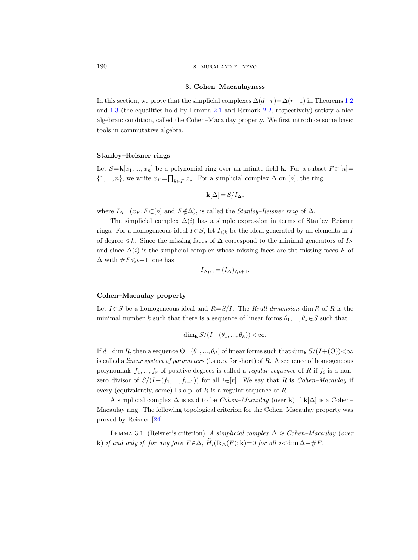190 S. MURAI AND E. NEVO

#### 3. Cohen–Macaulayness

In this section, we prove that the simplicial complexes  $\Delta(d-r)=\Delta(r-1)$  in Theorems [1.2](#page-1-1) and [1.3](#page-1-0) (the equalities hold by Lemma [2.1](#page-3-1) and Remark [2.2,](#page-3-2) respectively) satisfy a nice algebraic condition, called the Cohen–Macaulay property. We first introduce some basic tools in commutative algebra.

## Stanley–Reisner rings

Let  $S = \mathbf{k}[x_1, ..., x_n]$  be a polynomial ring over an infinite field **k**. For a subset  $F \subset [n] =$  $\{1, ..., n\}$ , we write  $x_F = \prod_{k \in F} x_k$ . For a simplicial complex  $\Delta$  on  $[n]$ , the ring

$$
\mathbf{k}[\Delta] = S/I_{\Delta},
$$

where  $I_{\Delta} = (x_F : F \subset [n]$  and  $F \notin \Delta$ ), is called the *Stanley–Reisner ring* of  $\Delta$ .

The simplicial complex  $\Delta(i)$  has a simple expression in terms of Stanley–Reisner rings. For a homogeneous ideal  $I\subset S$ , let  $I_{\leq k}$  be the ideal generated by all elements in I of degree  $\leq k$ . Since the missing faces of  $\Delta$  correspond to the minimal generators of  $I_{\Delta}$ and since  $\Delta(i)$  is the simplicial complex whose missing faces are the missing faces F of  $\Delta$  with  $\#F \leq i+1$ , one has

$$
I_{\Delta(i)} = (I_{\Delta})_{\leq i+1}.
$$

## Cohen–Macaulay property

Let  $I\subset S$  be a homogeneous ideal and  $R=S/I$ . The Krull dimension dim R of R is the minimal number k such that there is a sequence of linear forms  $\theta_1, ..., \theta_k \in S$  such that

$$
\dim_{\mathbf{k}} S/(I+(\theta_1,\ldots,\theta_k)) < \infty.
$$

If  $d=\dim R$ , then a sequence  $\Theta=(\theta_1,\ldots,\theta_d)$  of linear forms such that  $\dim_k S/(I+(\Theta))<\infty$ is called a *linear system of parameters* (l.s.o.p. for short) of  $R$ . A sequence of homogeneous polynomials  $f_1, ..., f_r$  of positive degrees is called a *regular sequence* of R if  $f_i$  is a nonzero divisor of  $S/(I+(f_1, ..., f_{i-1}))$  for all  $i \in [r]$ . We say that R is *Cohen–Macaulay* if every (equivalently, some) l.s.o.p. of  $R$  is a regular sequence of  $R$ .

A simplicial complex  $\Delta$  is said to be *Cohen–Macaulay* (over k) if k[ $\Delta$ ] is a Cohen– Macaulay ring. The following topological criterion for the Cohen–Macaulay property was proved by Reisner [\[24\]](#page-16-13).

<span id="page-5-0"></span>LEMMA 3.1. (Reisner's criterion) A simplicial complex  $\Delta$  is Cohen–Macaulay (over k) if and only if, for any face  $F \in \Delta$ ,  $H_i(\text{lk}_{\Delta}(F); \mathbf{k})=0$  for all  $i < \dim \Delta - \#F$ .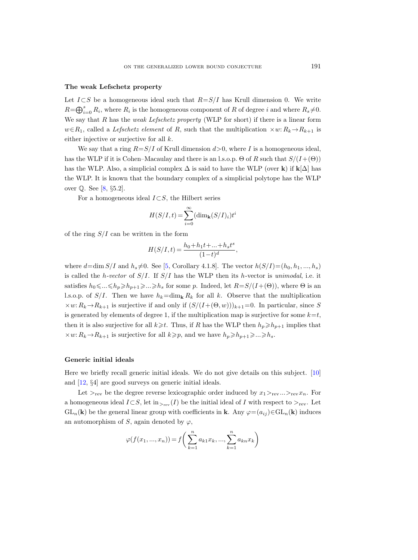#### The weak Lefschetz property

Let  $I\subset S$  be a homogeneous ideal such that  $R=S/I$  has Krull dimension 0. We write  $R=\bigoplus_{i=0}^s R_i$ , where  $R_i$  is the homogeneous component of R of degree i and where  $R_s \neq 0$ . We say that  $R$  has the *weak Lefschetz property* (WLP for short) if there is a linear form  $w \in R_1$ , called a *Lefschetz element* of R, such that the multiplication  $\times w: R_k \to R_{k+1}$  is either injective or surjective for all k.

We say that a ring  $R = S/I$  of Krull dimension  $d > 0$ , where I is a homogeneous ideal, has the WLP if it is Cohen–Macaulay and there is an l.s.o.p.  $\Theta$  of R such that  $S/(I+(\Theta))$ has the WLP. Also, a simplicial complex  $\Delta$  is said to have the WLP (over k) if  $\mathbf{k}[\Delta]$  has the WLP. It is known that the boundary complex of a simplicial polytope has the WLP over Q. See [\[8,](#page-16-14) §5.2].

For a homogeneous ideal  $I\subset S$ , the Hilbert series

$$
H(S/I, t) = \sum_{i=0}^{\infty} (\dim_{\mathbf{k}} (S/I)_i) t^i
$$

of the ring  $S/I$  can be written in the form

$$
H(S/I, t) = \frac{h_0 + h_1 t + \dots + h_s t^s}{(1 - t)^d},
$$

where  $d=\dim S/I$  and  $h_s\neq 0$ . See [[5,](#page-16-15) Corollary 4.1.8]. The vector  $h(S/I)=(h_0, h_1, ..., h_s)$ is called the h-vector of  $S/I$ . If  $S/I$  has the WLP then its h-vector is unimodal, i.e. it satisfies  $h_0 \leq \ldots \leq h_p \geq h_{p+1} \geq \ldots \geq h_s$  for some p. Indeed, let  $R = S/(I+(\Theta))$ , where  $\Theta$  is an l.s.o.p. of  $S/I$ . Then we have  $h_k=\dim_k R_k$  for all k. Observe that the multiplication  $\times w: R_k \to R_{k+1}$  is surjective if and only if  $(S/(I+(\Theta, w)))_{k+1}=0$ . In particular, since S is generated by elements of degree 1, if the multiplication map is surjective for some  $k=t$ , then it is also surjective for all  $k\geqslant t$ . Thus, if R has the WLP then  $h_p\geqslant h_{p+1}$  implies that  $\times w: R_k \to R_{k+1}$  is surjective for all  $k \geqslant p$ , and we have  $h_p \geqslant h_{p+1} \geqslant ... \geqslant h_s$ .

## Generic initial ideals

Here we briefly recall generic initial ideals. We do not give details on this subject. [\[10\]](#page-16-16) and [\[12,](#page-16-17) §4] are good surveys on generic initial ideals.

Let  $>_{\text{rev}}$  be the degree reverse lexicographic order induced by  $x_1 >_{\text{rev}} ... >_{\text{rev}} x_n$ . For a homogeneous ideal  $I \subset S$ , let  $\text{in}_{\gt_{\text{rev}}}(I)$  be the initial ideal of I with respect to  $\gt_{\text{rev}}$ . Let  $GL_n(\mathbf{k})$  be the general linear group with coefficients in **k**. Any  $\varphi = (a_{ij}) \in GL_n(\mathbf{k})$  induces an automorphism of S, again denoted by  $\varphi$ ,

$$
\varphi(f(x_1, ..., x_n)) = f\left(\sum_{k=1}^n a_{k1} x_k, ..., \sum_{k=1}^n a_{kn} x_k\right)
$$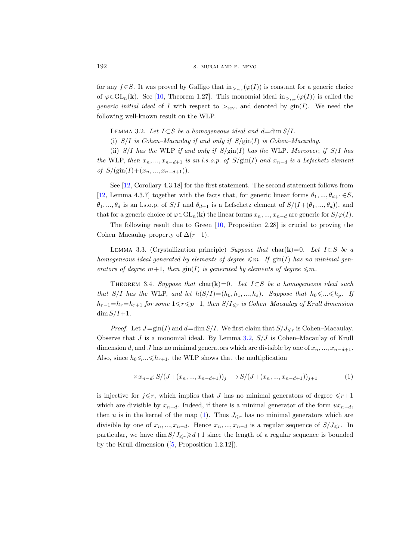for any  $f \in S$ . It was proved by Galligo that  $\text{in}_{\gt_{\text{rev}}}(\varphi(I))$  is constant for a generic choice of  $\varphi \in GL_n(\mathbf{k})$ . See [\[10,](#page-16-16) Theorem 1.27]. This monomial ideal  $\text{in}_{>_{\text{rev}}}(\varphi(I))$  is called the generic initial ideal of I with respect to  $>_{\text{rev}}$ , and denoted by  $\text{gin}(I)$ . We need the following well-known result on the WLP.

<span id="page-7-0"></span>LEMMA 3.2. Let  $I\subset S$  be a homogeneous ideal and  $d=\dim S/I$ .

(i)  $S/I$  is Cohen–Macaulay if and only if  $S/\text{gin}(I)$  is Cohen–Macaulay.

(ii)  $S/I$  has the WLP if and only if  $S/\text{gin}(I)$  has the WLP. Moreover, if  $S/I$  has the WLP, then  $x_n, ..., x_{n-d+1}$  is an l.s.o.p. of  $S/\text{gin}(I)$  and  $x_{n-d}$  is a Lefschetz element of  $S/(\text{gin}(I)+(x_n,...,x_{n-d+1})).$ 

See [\[12,](#page-16-17) Corollary 4.3.18] for the first statement. The second statement follows from [\[12,](#page-16-17) Lemma 4.3.7] together with the facts that, for generic linear forms  $\theta_1, ..., \theta_{d+1} \in S$ ,  $\theta_1, ..., \theta_d$  is an l.s.o.p. of  $S/I$  and  $\theta_{d+1}$  is a Lefschetz element of  $S/(I+(\theta_1, ..., \theta_d))$ , and that for a generic choice of  $\varphi \in GL_n(\mathbf{k})$  the linear forms  $x_n, ..., x_{n-d}$  are generic for  $S/\varphi(I)$ .

The following result due to Green [\[10,](#page-16-16) Proposition 2.28] is crucial to proving the Cohen–Macaulay property of  $\Delta(r-1)$ .

LEMMA 3.3. (Crystallization principle) Suppose that char(k)=0. Let  $I\subset S$  be a homogeneous ideal generated by elements of degree  $\leqslant m$ . If  $\text{gin}(I)$  has no minimal generators of degree  $m+1$ , then  $\text{gin}(I)$  is generated by elements of degree  $\leq m$ .

<span id="page-7-2"></span>THEOREM 3.4. Suppose that char(k)=0. Let  $I\subset S$  be a homogeneous ideal such that S/I has the WLP, and let  $h(S/I)=(h_0, h_1, ..., h_s)$ . Suppose that  $h_0 \leq ... \leq h_n$ . If  $h_{r-1}=h_r=h_{r+1}$  for some  $1\leq r\leq p-1$ , then  $S/I_{\leq r}$  is Cohen–Macaulay of Krull dimension  $\dim S/I+1$ .

*Proof.* Let  $J=\text{gin}(I)$  and  $d=\dim S/I$ . We first claim that  $S/J_{\leq r}$  is Cohen–Macaulay. Observe that  $J$  is a monomial ideal. By Lemma [3.2,](#page-7-0)  $S/J$  is Cohen–Macaulay of Krull dimension d, and J has no minimal generators which are divisible by one of  $x_n, ..., x_{n-d+1}$ . Also, since  $h_0 \leq \ldots \leq h_{r+1}$ , the WLP shows that the multiplication

<span id="page-7-1"></span>
$$
\times x_{n-d}: S/(J+(x_n, ..., x_{n-d+1}))_j \longrightarrow S/(J+(x_n, ..., x_{n-d+1}))_{j+1}
$$
 (1)

is injective for  $j \leq r$ , which implies that J has no minimal generators of degree  $\leq r+1$ which are divisible by  $x_{n-d}$ . Indeed, if there is a minimal generator of the form  $ux_{n-d}$ , then u is in the kernel of the map [\(1\)](#page-7-1). Thus  $J_{\leq r}$  has no minimal generators which are divisible by one of  $x_n, ..., x_{n-d}$ . Hence  $x_n, ..., x_{n-d}$  is a regular sequence of  $S/J_{\leq r}$ . In particular, we have dim  $S/J_{\leq r} \geq d+1$  since the length of a regular sequence is bounded by the Krull dimension ([\[5,](#page-16-15) Proposition 1.2.12]).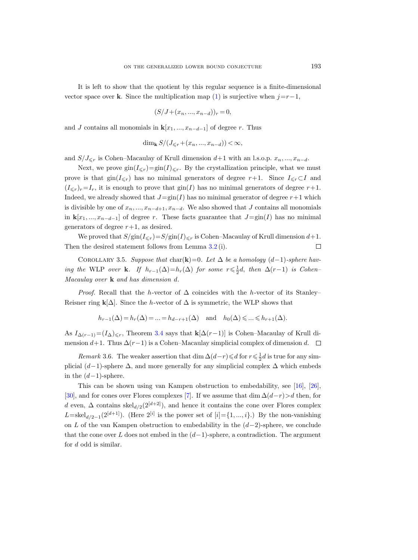It is left to show that the quotient by this regular sequence is a finite-dimensional vector space over k. Since the multiplication map [\(1\)](#page-7-1) is surjective when  $j=r-1$ ,

$$
(S/J + (x_n, ..., x_{n-d}))_r = 0,
$$

and J contains all monomials in  $\mathbf{k}[x_1, ..., x_{n-d-1}]$  of degree r. Thus

$$
\dim_{\mathbf{k}} S/(J_{\leq r}+(x_n,\ldots,x_{n-d})) < \infty,
$$

and  $S/J_{\leq r}$  is Cohen–Macaulay of Krull dimension  $d+1$  with an l.s.o.p.  $x_n, ..., x_{n-d}$ .

Next, we prove  $\text{gin}(I_{\leq r})=\text{gin}(I)_{\leq r}$ . By the crystallization principle, what we must prove is that  $\text{gin}(I_{\leq r})$  has no minimal generators of degree r+1. Since  $I_{\leq r} \subset I$  and  $(I_{\leq r})_r=I_r$ , it is enough to prove that  $\text{gin}(I)$  has no minimal generators of degree  $r+1$ . Indeed, we already showed that  $J=\text{gin}(I)$  has no minimal generator of degree  $r+1$  which is divisible by one of  $x_n, ..., x_{n-d+1}, x_{n-d}$ . We also showed that J contains all monomials in  $\mathbf{k}[x_1, ..., x_{n-d-1}]$  of degree r. These facts guarantee that  $J=\text{gin}(I)$  has no minimal generators of degree  $r+1$ , as desired.

We proved that  $S/\text{gin}(I_{\leq r})=S/\text{gin}(I)_{\leq r}$  is Cohen–Macaulay of Krull dimension  $d+1$ . Then the desired statement follows from Lemma [3.2](#page-7-0) (i).  $\Box$ 

<span id="page-8-0"></span>COROLLARY 3.5. Suppose that char(k)=0. Let  $\Delta$  be a homology (d-1)-sphere having the WLP over **k**. If  $h_{r-1}(\Delta) = h_r(\Delta)$  for some  $r \leq \frac{1}{2}d$ , then  $\Delta(r-1)$  is Cohen-Macaulay over  $\bf{k}$  and has dimension d.

*Proof.* Recall that the h-vector of  $\Delta$  coincides with the h-vector of its Stanley– Reisner ring k[ $\Delta$ ]. Since the *h*-vector of  $\Delta$  is symmetric, the WLP shows that

$$
h_{r-1}(\Delta) = h_r(\Delta) = \dots = h_{d-r+1}(\Delta)
$$
 and  $h_0(\Delta) \leq \dots \leq h_{r+1}(\Delta)$ .

As  $I_{\Delta(r-1)}=(I_{\Delta})_{\leq r}$ , Theorem [3.4](#page-7-2) says that  $\mathbf{k}[\Delta(r-1)]$  is Cohen–Macaulay of Krull dimension  $d+1$ . Thus  $\Delta(r-1)$  is a Cohen–Macaulay simplicial complex of dimension d.  $\Box$ 

Remark 3.6. The weaker assertion that  $\dim \Delta(d-r) \leq d$  for  $r \leq \frac{1}{2}d$  is true for any simplicial  $(d-1)$ -sphere  $\Delta$ , and more generally for any simplicial complex  $\Delta$  which embeds in the  $(d-1)$ -sphere.

This can be shown using van Kampen obstruction to embedability, see [\[16\]](#page-16-18), [\[26\]](#page-17-3), [\[30\]](#page-17-4), and for cones over Flores complexes [\[7\]](#page-16-19). If we assume that dim  $\Delta(d-r) > d$  then, for d even,  $\Delta$  contains skel $_{d/2}(2^{[d+2]})$ , and hence it contains the cone over Flores complex L=skel<sub>d/2-1</sub>(2<sup>[d+1]</sup>). (Here 2<sup>[i]</sup> is the power set of [i]={1,..., i}.) By the non-vanishing on L of the van Kampen obstruction to embedability in the  $(d-2)$ -sphere, we conclude that the cone over L does not embed in the  $(d-1)$ -sphere, a contradiction. The argument for  $d$  odd is similar.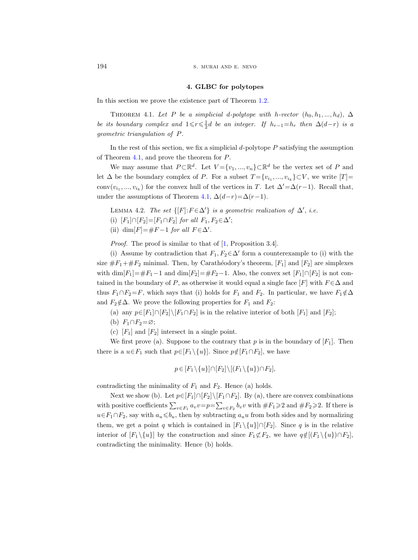## 4. GLBC for polytopes

<span id="page-9-0"></span>In this section we prove the existence part of Theorem [1.2.](#page-1-1)

<span id="page-9-1"></span>THEOREM 4.1. Let P be a simplicial d-polytope with h-vector  $(h_0, h_1, ..., h_d)$ ,  $\Delta$ be its boundary complex and  $1 \leq r \leq \frac{1}{2}d$  be an integer. If  $h_{r-1} = h_r$  then  $\Delta(d-r)$  is a geometric triangulation of P.

In the rest of this section, we fix a simplicial  $d$ -polytope  $P$  satisfying the assumption of Theorem [4.1,](#page-9-1) and prove the theorem for P.

We may assume that  $P \subset \mathbb{R}^d$ . Let  $V = \{v_1, ..., v_n\} \subset \mathbb{R}^d$  be the vertex set of P and let  $\Delta$  be the boundary complex of P. For a subset  $T = \{v_{i_1}, ..., v_{i_k}\} \subset V$ , we write  $[T] =$ conv $(v_{i_1},...,v_{i_k})$  for the convex hull of the vertices in T. Let  $\Delta'=\Delta(r-1)$ . Recall that, under the assumptions of Theorem [4.1,](#page-9-1)  $\Delta(d-r)=\Delta(r-1)$ .

<span id="page-9-2"></span>LEMMA 4.2. The set  $\{[F]: F \in \Delta'\}$  is a geometric realization of  $\Delta'$ , i.e.

(i)  $[F_1] \cap [F_2] = [F_1 \cap F_2]$  for all  $F_1, F_2 \in \Delta'$ ;

(ii) dim[ $F$ ]=# $F-1$  for all  $F \in \Delta'$ .

Proof. The proof is similar to that of [\[1,](#page-16-7) Proposition 3.4].

(i) Assume by contradiction that  $F_1, F_2 \in \Delta'$  form a counterexample to (i) with the size  $\#F_1+\#F_2$  minimal. Then, by Carathéodory's theorem,  $[F_1]$  and  $[F_2]$  are simplexes with dim $[F_1]=\#F_1-1$  and dim $[F_2]=\#F_2-1$ . Also, the convex set  $[F_1] \cap [F_2]$  is not contained in the boundary of P, as otherwise it would equal a single face [F] with  $F \in \Delta$  and thus  $F_1 \cap F_2 = F$ , which says that (i) holds for  $F_1$  and  $F_2$ . In particular, we have  $F_1 \notin \Delta$ and  $F_2 \notin \Delta$ . We prove the following properties for  $F_1$  and  $F_2$ :

(a) any  $p\in [F_1]\cap [F_2]\setminus [F_1\cap F_2]$  is in the relative interior of both  $[F_1]$  and  $[F_2]$ ;

- (b)  $F_1 \cap F_2 = \varnothing;$
- (c)  $[F_1]$  and  $[F_2]$  intersect in a single point.

We first prove (a). Suppose to the contrary that p is in the boundary of  $[F_1]$ . Then there is a  $u \in F_1$  such that  $p \in [F_1 \setminus \{u\}]$ . Since  $p \notin [F_1 \cap F_2]$ , we have

$$
p \in [F_1 \setminus \{u\}] \cap [F_2] \setminus [(F_1 \setminus \{u\}) \cap F_2],
$$

contradicting the minimality of  $F_1$  and  $F_2$ . Hence (a) holds.

Next we show (b). Let  $p \in [F_1] \cap [F_2] \setminus [F_1 \cap F_2]$ . By (a), there are convex combinations with positive coefficients  $\sum_{v\in F_1} a_v v = p = \sum_{v\in F_2} b_v v$  with  $\#F_1 \geqslant 2$  and  $\#F_2 \geqslant 2$ . If there is  $u \in F_1 \cap F_2$ , say with  $a_u \leq b_u$ , then by subtracting  $a_u u$  from both sides and by normalizing them, we get a point q which is contained in  $[F_1 \setminus \{u\}] \cap [F_2]$ . Since q is in the relative interior of  $[F_1 \setminus \{u\}]$  by the construction and since  $F_1 \not\subset F_2$ , we have  $q \notin [(F_1 \setminus \{u\}) \cap F_2]$ , contradicting the minimality. Hence (b) holds.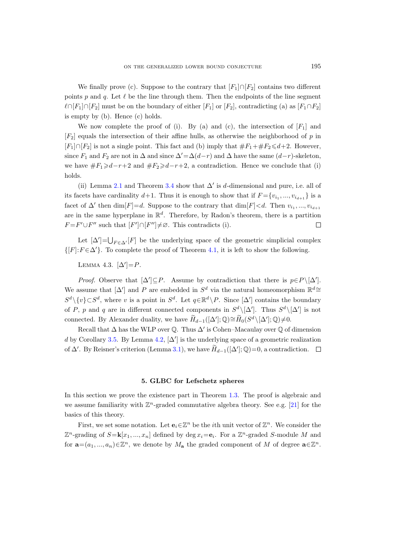We finally prove (c). Suppose to the contrary that  $[F_1] \cap [F_2]$  contains two different points p and q. Let  $\ell$  be the line through them. Then the endpoints of the line segment  $\ell \cap [F_1] \cap [F_2]$  must be on the boundary of either  $[F_1]$  or  $[F_2]$ , contradicting (a) as  $[F_1 \cap F_2]$ is empty by (b). Hence (c) holds.

We now complete the proof of (i). By (a) and (c), the intersection of  $[F_1]$  and  $[F_2]$  equals the intersection of their affine hulls, as otherwise the neighborhood of p in  $[F_1] \cap [F_2]$  is not a single point. This fact and (b) imply that  $\#F_1 + \#F_2 \le d+2$ . However, since  $F_1$  and  $F_2$  are not in  $\Delta$  and since  $\Delta'=\Delta(d-r)$  and  $\Delta$  have the same  $(d-r)$ -skeleton, we have  $\#F_1\geq d-r+2$  and  $\#F_2\geq d-r+2$ , a contradiction. Hence we conclude that (i) holds.

(ii) Lemma [2.1](#page-3-1) and Theorem [3.4](#page-7-2) show that  $\Delta'$  is d-dimensional and pure, i.e. all of its facets have cardinality  $d+1$ . Thus it is enough to show that if  $F = \{v_{i_1}, ..., v_{i_{d+1}}\}$  is a facet of  $\Delta'$  then  $\dim[F]=d$ . Suppose to the contrary that  $\dim[F]. Then  $v_{i_1},...,v_{i_{d+1}}$$ are in the same hyperplane in  $\mathbb{R}^d$ . Therefore, by Radon's theorem, there is a partition  $F = F' \cup F''$  such that  $[F'] \cap [F''] \neq \emptyset$ . This contradicts (i).  $\Box$ 

Let  $[\Delta'] = \bigcup_{F \in \Delta'} [F]$  be the underlying space of the geometric simplicial complex  $\{[F]: F \in \Delta'\}.$  To complete the proof of Theorem [4.1,](#page-9-1) it is left to show the following.

LEMMA 4.3.  $[\Delta'] = P$ .

*Proof.* Observe that  $[\Delta'] \subseteq P$ . Assume by contradiction that there is  $p \in P \setminus [\Delta']$ . We assume that  $[\Delta']$  and P are embedded in  $S^d$  via the natural homeomorphism  $\mathbb{R}^d$  $S^d \setminus \{v\} \subset S^d$ , where v is a point in  $S^d$ . Let  $q \in \mathbb{R}^d \setminus P$ . Since  $[\Delta']$  contains the boundary of P, p and q are in different connected components in  $S^d \setminus [\Delta']$ . Thus  $S^d \setminus [\Delta']$  is not connected. By Alexander duality, we have  $\widetilde{H}_{d-1}([\Delta']) \cong \widetilde{H}_0(S^d \setminus [\Delta']) \neq 0$ .

Recall that  $\Delta$  has the WLP over Q. Thus  $\Delta'$  is Cohen–Macaulay over Q of dimension d by Corollary [3.5.](#page-8-0) By Lemma [4.2,](#page-9-2)  $[\Delta']$  is the underlying space of a geometric realization of  $\Delta'$ . By Reisner's criterion (Lemma [3.1\)](#page-5-0), we have  $\widetilde{H}_{d-1}([\Delta']; \mathbb{Q}) = 0$ , a contradiction.

## 5. GLBC for Lefschetz spheres

<span id="page-10-0"></span>In this section we prove the existence part in Theorem [1.3.](#page-1-0) The proof is algebraic and we assume familiarity with  $\mathbb{Z}^n$ -graded commutative algebra theory. See e.g. [\[21\]](#page-16-20) for the basics of this theory.

First, we set some notation. Let  $e_i \in \mathbb{Z}^n$  be the *i*th unit vector of  $\mathbb{Z}^n$ . We consider the  $\mathbb{Z}^n$ -grading of  $S = \mathbf{k}[x_1, ..., x_n]$  defined by deg  $x_i = \mathbf{e}_i$ . For a  $\mathbb{Z}^n$ -graded S-module M and for  $\mathbf{a} = (a_1, ..., a_n) \in \mathbb{Z}^n$ , we denote by  $M_{\mathbf{a}}$  the graded component of M of degree  $\mathbf{a} \in \mathbb{Z}^n$ .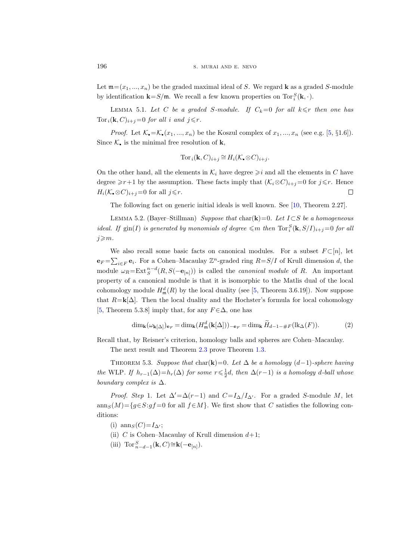Let  $\mathfrak{m}=(x_1,...,x_n)$  be the graded maximal ideal of S. We regard **k** as a graded S-module by identification  $\mathbf{k} = S/\mathfrak{m}$ . We recall a few known properties on  $\text{Tor}_{i}^{S}(\mathbf{k}, \cdot)$ .

<span id="page-11-1"></span>LEMMA 5.1. Let C be a graded S-module. If  $C_k=0$  for all  $k \leq r$  then one has  $Tor_i(\mathbf{k}, C)_{i+j}=0$  for all i and  $j \leq r$ .

*Proof.* Let  $\mathcal{K}_{\bullet} = \mathcal{K}_{\bullet}(x_1, ..., x_n)$  be the Koszul complex of  $x_1, ..., x_n$  (see e.g. [\[5,](#page-16-15) §1.6]). Since  $\mathcal{K}_\bullet$  is the minimal free resolution of **k**,

$$
\operatorname{Tor}_i(\mathbf{k}, C)_{i+j} \cong H_i(\mathcal{K}_\bullet \otimes C)_{i+j}.
$$

On the other hand, all the elements in  $\mathcal{K}_i$  have degree  $\geqslant i$  and all the elements in  $C$  have degree  $\geq r+1$  by the assumption. These facts imply that  $(\mathcal{K}_i \otimes C)_{i+j}=0$  for  $j\leq r$ . Hence  $H_i(\mathcal{K}\otimes\mathcal{C})_{i+j}=0$  for all  $j\leq r$ .  $\Box$ 

The following fact on generic initial ideals is well known. See [\[10,](#page-16-16) Theorem 2.27].

<span id="page-11-0"></span>LEMMA 5.2. (Bayer–Stillman) Suppose that char(k)=0. Let  $I\subset S$  be a homogeneous ideal. If  $\text{gin}(I)$  is generated by monomials of degree  $\leqslant m$  then  $\text{Tor}_{i}^{S}(\mathbf{k},S/I)_{i+j}=0$  for all  $j\geqslant m$ .

We also recall some basic facts on canonical modules. For a subset  $F \subset [n]$ , let  $\mathbf{e}_F = \sum_{i \in F} \mathbf{e}_i$ . For a Cohen-Macaulay  $\mathbb{Z}^n$ -graded ring  $R = S/I$  of Krull dimension d, the module  $\omega_R = \text{Ext}^{n-d}_S(R, S(-\mathbf{e}_{[n]}))$  is called the *canonical module* of R. An important property of a canonical module is that it is isomorphic to the Matlis dual of the local cohomology module  $H_{\mathfrak{m}}^d(R)$  by the local duality (see [\[5,](#page-16-15) Theorem 3.6.19]). Now suppose that  $R=\mathbf{k}[\Delta]$ . Then the local duality and the Hochster's formula for local cohomology [\[5,](#page-16-15) Theorem 5.3.8] imply that, for any  $F \in \Delta$ , one has

<span id="page-11-2"></span>
$$
\dim_{\mathbf{k}}(\omega_{\mathbf{k}[\Delta]})_{\mathbf{e}_F} = \dim_{\mathbf{k}}(H_{\mathfrak{m}}^d(\mathbf{k}[\Delta]))_{-\mathbf{e}_F} = \dim_{\mathbf{k}}\widetilde{H}_{d-1-\#F}(\operatorname{lk}_{\Delta}(F)).\tag{2}
$$

Recall that, by Reisner's criterion, homology balls and spheres are Cohen–Macaulay.

The next result and Theorem [2.3](#page-3-0) prove Theorem [1.3.](#page-1-0)

<span id="page-11-3"></span>THEOREM 5.3. Suppose that char(k)=0. Let  $\Delta$  be a homology (d-1)-sphere having the WLP. If  $h_{r-1}(\Delta) = h_r(\Delta)$  for some  $r \leq \frac{1}{2}d$ , then  $\Delta(r-1)$  is a homology d-ball whose boundary complex is  $\Delta$ .

*Proof. Step* 1. Let  $\Delta' = \Delta(r-1)$  and  $C = I_{\Delta}/I_{\Delta'}$ . For a graded S-module M, let anns $(M)=\{g\in S:gf=0 \text{ for all } f\in M\}$ . We first show that C satisfies the following conditions:

- (i)  $\text{ann}_S(C)=I_{\Delta'};$
- (ii) C is Cohen–Macaulay of Krull dimension  $d+1$ ;
- (iii)  $\mathrm{Tor}_{n-d-1}^S(\mathbf{k},C)\cong \mathbf{k}(-\mathbf{e}_{[n]})$ .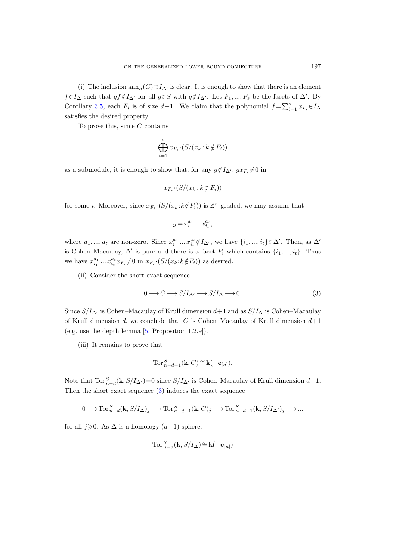(i) The inclusion ann $S(C) \supset I_{\Delta}$  is clear. It is enough to show that there is an element  $f \in I_{\Delta}$  such that  $gf \notin I_{\Delta'}$  for all  $g \in S$  with  $g \notin I_{\Delta'}$ . Let  $F_1, ..., F_s$  be the facets of  $\Delta'$ . By Corollary [3.5,](#page-8-0) each  $F_i$  is of size  $d+1$ . We claim that the polynomial  $f = \sum_{i=1}^{s} x_{F_i} \in I_{\Delta}$ satisfies the desired property.

To prove this, since  $C$  contains

$$
\bigoplus_{i=1}^{s} x_{F_i} \cdot (S/(x_k : k \notin F_i))
$$

as a submodule, it is enough to show that, for any  $g \notin I_{\Delta'}$ ,  $gx_{F_i} \neq 0$  in

$$
x_{F_i} \cdot (S/(x_k : k \notin F_i))
$$

for some *i*. Moreover, since  $x_{F_i} \cdot (S/(x_k : k \notin F_i))$  is  $\mathbb{Z}^n$ -graded, we may assume that

$$
g = x_{i_1}^{a_1} \dots x_{i_t}^{a_t},
$$

where  $a_1, ..., a_t$  are non-zero. Since  $x_{i_1}^{a_1} ... x_{i_t}^{a_t} \notin I_{\Delta}$ , we have  $\{i_1, ..., i_t\} \in \Delta'$ . Then, as  $\Delta'$ is Cohen–Macaulay,  $\Delta'$  is pure and there is a facet  $F_i$  which contains  $\{i_1, ..., i_t\}$ . Thus we have  $x_{i_1}^{a_1} \dots x_{i_t}^{a_t} x_{F_i} \neq 0$  in  $x_{F_i} \cdot (S/(x_k : k \notin F_i))$  as desired.

(ii) Consider the short exact sequence

<span id="page-12-0"></span>
$$
0 \longrightarrow C \longrightarrow S/I_{\Delta'} \longrightarrow S/I_{\Delta} \longrightarrow 0. \tag{3}
$$

Since  $S/I_{\Delta}$  is Cohen–Macaulay of Krull dimension  $d+1$  and as  $S/I_{\Delta}$  is Cohen–Macaulay of Krull dimension d, we conclude that C is Cohen–Macaulay of Krull dimension  $d+1$ (e.g. use the depth lemma [\[5,](#page-16-15) Proposition 1.2.9]).

(iii) It remains to prove that

$$
\operatorname{Tor}_{n-d-1}^S(\mathbf{k},C) \cong \mathbf{k}(-\mathbf{e}_{[n]}).
$$

Note that  $\text{Tor}_{n-d}^S(\mathbf{k}, S/I_{\Delta})=0$  since  $S/I_{\Delta}$  is Cohen–Macaulay of Krull dimension  $d+1$ . Then the short exact sequence [\(3\)](#page-12-0) induces the exact sequence

$$
0\longrightarrow \operatorname{Tor}_{n-d}^S(\mathbf{k},S/I_\Delta)_j\longrightarrow \operatorname{Tor}_{n-d-1}^S(\mathbf{k},C)_j\longrightarrow \operatorname{Tor}_{n-d-1}^S(\mathbf{k},S/I_{\Delta'})_j\longrightarrow\ldots
$$

for all  $j\geqslant 0$ . As  $\Delta$  is a homology  $(d-1)$ -sphere,

$$
\operatorname{Tor}_{n-d}^S(\mathbf{k},S/I_\Delta)\cong \mathbf{k}(-\mathbf{e}_{[n]})
$$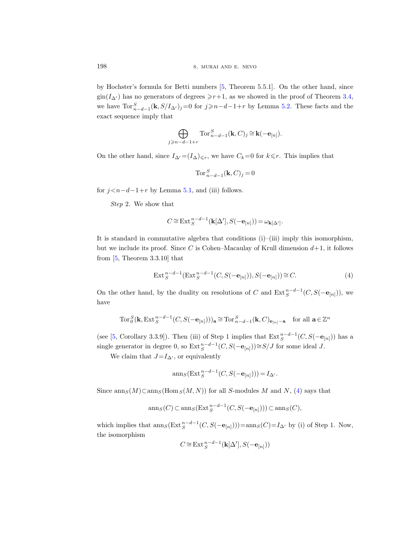by Hochster's formula for Betti numbers [\[5,](#page-16-15) Theorem 5.5.1]. On the other hand, since  $\text{gin}(I_{\Delta})$  has no generators of degrees  $\geq r+1$ , as we showed in the proof of Theorem [3.4,](#page-7-2) we have  $\text{Tor}_{n-d-1}^S(\mathbf{k},S/I_{\Delta'})_j=0$  for  $j\geqslant n-d-1+r$  by Lemma [5.2.](#page-11-0) These facts and the exact sequence imply that

$$
\bigoplus_{j\geqslant n-d-1+r}\mathrm{Tor}_{n-d-1}^S(\mathbf{k},C)_j\cong \mathbf{k}(-\mathbf{e}_{[n]}).
$$

On the other hand, since  $I_{\Delta} = (I_{\Delta})_{\leq r}$ , we have  $C_k = 0$  for  $k \leq r$ . This implies that

$$
\operatorname{Tor}_{n-d-1}^S(\mathbf{k}, C)_j = 0
$$

for  $j < n-d-1+r$  by Lemma [5.1,](#page-11-1) and (iii) follows.

Step 2. We show that

$$
C \cong \text{Ext}_{S}^{n-d-1}(\mathbf{k}[\Delta'], S(-\mathbf{e}_{[n]})) = \omega_{\mathbf{k}[\Delta']}.
$$

It is standard in commutative algebra that conditions  $(i)$ – $(iii)$  imply this isomorphism, but we include its proof. Since C is Cohen–Macaulay of Krull dimension  $d+1$ , it follows from [\[5,](#page-16-15) Theorem 3.3.10] that

<span id="page-13-0"></span>
$$
\operatorname{Ext}_{S}^{n-d-1}(\operatorname{Ext}_{S}^{n-d-1}(C, S(-\mathbf{e}_{[n]})), S(-\mathbf{e}_{[n]})) \cong C.
$$
\n
$$
(4)
$$

On the other hand, by the duality on resolutions of C and  $Ext^{n-d-1}_S(C, S(-e_{[n]}))$ , we have

$$
\operatorname{Tor}_0^S(\mathbf k, \operatorname{Ext}^{n-d-1}_S(C, S(-{\bf e}_{[n]})))_{\mathbf a} \cong \operatorname{Tor}_{n-d-1}^S(\mathbf k, C)_{\mathbf e_{[n]}-\mathbf a} \quad \text{for all } \mathbf a \in \mathbb Z^n
$$

(see [\[5,](#page-16-15) Corollary 3.3.9]). Then (iii) of Step 1 implies that  $\text{Ext}^{n-d-1}_S(C, S(-\mathbf{e}_{[n]}))$  has a single generator in degree 0, so  $\text{Ext}_{S}^{n-d-1}(C, S(-\mathbf{e}_{[n]}))\cong S/J$  for some ideal J.

We claim that  $J=I_{\Delta}$ , or equivalently

$$
\operatorname{ann}_S(\operatorname{Ext}^{n-d-1}_S(C, S(-{\bf e}_{[n]}))) = I_{\Delta'}.
$$

Since  $\operatorname{ann}_S(M) \subset \operatorname{ann}_S(\operatorname{Hom}_S(M, N))$  for all S-modules M and N, [\(4\)](#page-13-0) says that

$$
\operatorname{ann}_S(C) \subset \operatorname{ann}_S(\operatorname{Ext}^{n-d-1}_S(C, S(-\mathbf{e}_{[n]}))) \subset \operatorname{ann}_S(C),
$$

which implies that  $\operatorname{ann}_S(\operatorname{Ext}^{n-d-1}_S(C, S(-\mathbf{e}_{[n]})))=\operatorname{ann}_S(C)=I_{\Delta'}$  by (i) of Step 1. Now, the isomorphism

$$
C\!\cong\!\textnormal{Ext}_S^{n-d-1}(\mathbf{k}[\Delta'],S(-\mathbf{e}_{[n]}))
$$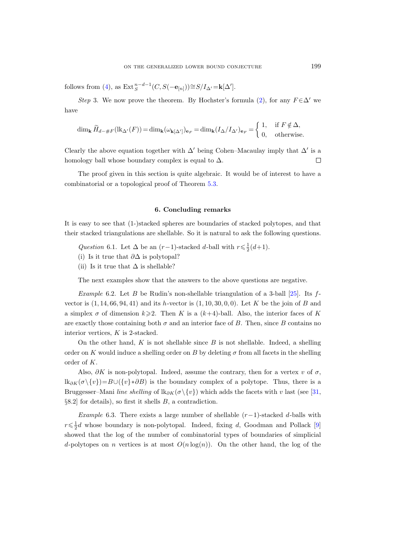follows from [\(4\)](#page-13-0), as  $\mathrm{Ext}^{n-d-1}_S(C, S(-\mathbf{e}_{[n]})) \cong S/I_{\Delta'} = \mathbf{k}[\Delta'].$ 

Step 3. We now prove the theorem. By Hochster's formula [\(2\)](#page-11-2), for any  $F \in \Delta'$  we have

$$
\dim_{\mathbf{k}} \widetilde{H}_{d-\#F}(\mathrm{lk}_{\Delta'}(F)) = \dim_{\mathbf{k}} (\omega_{\mathbf{k}[\Delta']})_{\mathbf{e}_F} = \dim_{\mathbf{k}} (I_{\Delta}/I_{\Delta'})_{\mathbf{e}_F} = \begin{cases} 1, & \text{if } F \notin \Delta, \\ 0, & \text{otherwise.} \end{cases}
$$

Clearly the above equation together with  $\Delta'$  being Cohen–Macaulay imply that  $\Delta'$  is a homology ball whose boundary complex is equal to  $\Delta$ .  $\Box$ 

The proof given in this section is quite algebraic. It would be of interest to have a combinatorial or a topological proof of Theorem [5.3.](#page-11-3)

# 6. Concluding remarks

<span id="page-14-0"></span>It is easy to see that (1-)stacked spheres are boundaries of stacked polytopes, and that their stacked triangulations are shellable. So it is natural to ask the following questions.

<span id="page-14-1"></span>Question 6.1. Let  $\Delta$  be an  $(r-1)$ -stacked d-ball with  $r \leq \frac{1}{2}(d+1)$ .

(i) Is it true that  $\partial \Delta$  is polytopal?

(ii) Is it true that  $\Delta$  is shellable?

The next examples show that the answers to the above questions are negative.

<span id="page-14-2"></span>Example 6.2. Let B be Rudin's non-shellable triangulation of a 3-ball [\[25\]](#page-16-21). Its  $f$ vector is  $(1, 14, 66, 94, 41)$  and its *h*-vector is  $(1, 10, 30, 0, 0)$ . Let K be the join of B and a simplex  $\sigma$  of dimension  $k\geqslant 2$ . Then K is a  $(k+4)$ -ball. Also, the interior faces of K are exactly those containing both  $\sigma$  and an interior face of B. Then, since B contains no interior vertices,  $K$  is 2-stacked.

On the other hand,  $K$  is not shellable since  $B$  is not shellable. Indeed, a shelling order on K would induce a shelling order on B by deleting  $\sigma$  from all facets in the shelling order of K.

Also,  $\partial K$  is non-polytopal. Indeed, assume the contrary, then for a vertex v of  $\sigma$ ,  $\text{lk}_{\partial K}(\sigma \setminus \{v\})=B\cup (\{v\}\ast \partial B)$  is the boundary complex of a polytope. Thus, there is a Bruggesser–Mani line shelling of lk∂K( $\sigma \setminus \{v\}$ ) which adds the facets with v last (see [\[31,](#page-17-5) §8.2] for details), so first it shells B, a contradiction.

<span id="page-14-3"></span>Example 6.3. There exists a large number of shellable  $(r-1)$ -stacked d-balls with  $r \leq \frac{1}{2}d$  whose boundary is non-polytopal. Indeed, fixing d, Goodman and Pollack [\[9\]](#page-16-22) showed that the log of the number of combinatorial types of boundaries of simplicial d-polytopes on n vertices is at most  $O(n \log(n))$ . On the other hand, the log of the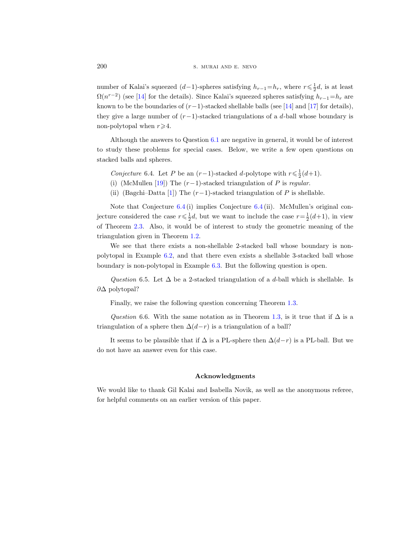number of Kalai's squeezed  $(d-1)$ -spheres satisfying  $h_{r-1} = h_r$ , where  $r \leq \frac{1}{2}d$ , is at least  $\Omega(n^{r-2})$  (see [\[14\]](#page-16-23) for the details). Since Kalai's squeezed spheres satisfying  $h_{r-1}=h_r$  are known to be the boundaries of  $(r-1)$ -stacked shellable balls (see [\[14\]](#page-16-23) and [\[17\]](#page-16-24) for details), they give a large number of  $(r-1)$ -stacked triangulations of a d-ball whose boundary is non-polytopal when  $r \geq 4$ .

Although the answers to Question [6.1](#page-14-1) are negative in general, it would be of interest to study these problems for special cases. Below, we write a few open questions on stacked balls and spheres.

- <span id="page-15-0"></span>Conjecture 6.4. Let P be an  $(r-1)$ -stacked d-polytope with  $r \leq \frac{1}{2}(d+1)$ .
- (i) (McMullen [\[19\]](#page-16-6)) The  $(r-1)$ -stacked triangulation of P is regular.
- (ii) (Bagchi–Datta [\[1\]](#page-16-7)) The  $(r-1)$ -stacked triangulation of P is shellable.

Note that Conjecture [6.4](#page-15-0) (i) implies Conjecture [6.4](#page-15-0) (ii). McMullen's original conjecture considered the case  $r \leq \frac{1}{2}d$ , but we want to include the case  $r = \frac{1}{2}(d+1)$ , in view of Theorem [2.3.](#page-3-0) Also, it would be of interest to study the geometric meaning of the triangulation given in Theorem [1.2.](#page-1-1)

We see that there exists a non-shellable 2-stacked ball whose boundary is nonpolytopal in Example [6.2,](#page-14-2) and that there even exists a shellable 3-stacked ball whose boundary is non-polytopal in Example [6.3.](#page-14-3) But the following question is open.

Question 6.5. Let  $\Delta$  be a 2-stacked triangulation of a d-ball which is shellable. Is ∂∆ polytopal?

Finally, we raise the following question concerning Theorem [1.3.](#page-1-0)

Question 6.6. With the same notation as in Theorem [1.3,](#page-1-0) is it true that if  $\Delta$  is a triangulation of a sphere then  $\Delta(d-r)$  is a triangulation of a ball?

It seems to be plausible that if  $\Delta$  is a PL-sphere then  $\Delta(d-r)$  is a PL-ball. But we do not have an answer even for this case.

#### Acknowledgments

We would like to thank Gil Kalai and Isabella Novik, as well as the anonymous referee, for helpful comments on an earlier version of this paper.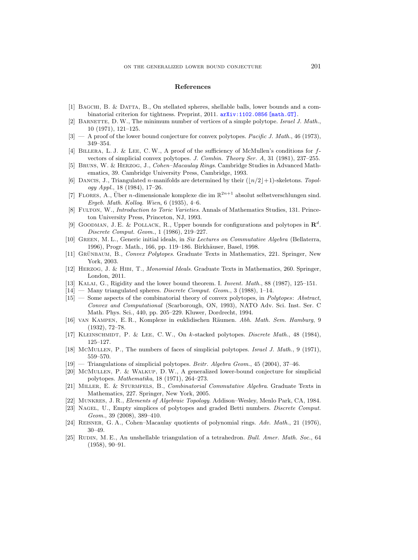#### References

- <span id="page-16-7"></span>[1] Bagchi, B. & Datta, B., On stellated spheres, shellable balls, lower bounds and a combinatorial criterion for tightness. Preprint, 2011. [arXiv:1102.0856 \[math.GT\]](http://arxiv.org/abs/1102.0856).
- <span id="page-16-2"></span>[2] BARNETTE, D. W., The minimum number of vertices of a simple polytope. Israel J. Math., 10 (1971), 121–125.
- <span id="page-16-3"></span> $[3]$  — A proof of the lower bound conjecture for convex polytopes. Pacific J. Math., 46 (1973), 349–354.
- <span id="page-16-5"></span>[4] BILLERA, L. J. & LEE, C. W., A proof of the sufficiency of McMullen's conditions for  $f$ vectors of simplicial convex polytopes. J. Combin. Theory Ser. A, 31 (1981), 237–255.
- <span id="page-16-15"></span>[5] Bruns, W. & Herzog, J., Cohen–Macaulay Rings. Cambridge Studies in Advanced Mathematics, 39. Cambridge University Press, Cambridge, 1993.
- <span id="page-16-12"></span>[6] DANCIS, J., Triangulated n-manifolds are determined by their  $(|n/2|+1)$ -skeletons. Topology Appl., 18 (1984), 17–26.
- <span id="page-16-19"></span>[7] FLORES, A., Über *n*-dimensionale komplexe die im  $\mathbb{R}^{2n+1}$  absolut selbstverschlungen sind. Ergeb. Math. Kolloq. Wien, 6 (1935), 4–6.
- <span id="page-16-14"></span>[8] FULTON, W., *Introduction to Toric Varieties*. Annals of Mathematics Studies, 131. Princeton University Press, Princeton, NJ, 1993.
- <span id="page-16-22"></span>[9] GOODMAN, J.E. & POLLACK, R., Upper bounds for configurations and polytopes in  $\mathbb{R}^d$ . Discrete Comput. Geom., 1 (1986), 219–227.
- <span id="page-16-16"></span>[10] Green, M. L., Generic initial ideals, in Six Lectures on Commutative Algebra (Bellaterra, 1996), Progr. Math., 166, pp. 119–186. Birkhäuser, Basel, 1998.
- <span id="page-16-1"></span>[11] GRÜNBAUM, B., Convex Polytopes. Graduate Texts in Mathematics, 221. Springer, New York, 2003.
- <span id="page-16-17"></span>[12] Herzog, J. & Hibi, T., Monomial Ideals. Graduate Texts in Mathematics, 260. Springer, London, 2011.
- <span id="page-16-8"></span>[13] KALAI, G., Rigidity and the lower bound theorem. I. Invent. Math., 88 (1987), 125–151.
- <span id="page-16-23"></span> $[14]$  — Many triangulated spheres. Discrete Comput. Geom., 3 (1988), 1–14.
- <span id="page-16-9"></span>[15] — Some aspects of the combinatorial theory of convex polytopes, in *Polytopes: Abstract*, Convex and Computational (Scarborough, ON, 1993), NATO Adv. Sci. Inst. Ser. C Math. Phys. Sci., 440, pp. 205–229. Kluwer, Dordrecht, 1994.
- <span id="page-16-18"></span>[16] VAN KAMPEN, E.R., Komplexe in euklidischen Räumen. Abh. Math. Sem. Hamburg, 9 (1932), 72–78.
- <span id="page-16-24"></span>[17] KLEINSCHMIDT, P. & LEE, C. W., On k-stacked polytopes. *Discrete Math.*, 48 (1984), 125–127.
- <span id="page-16-4"></span>[18] McMuLLEN, P., The numbers of faces of simplicial polytopes. Israel J. Math., 9 (1971), 559–570.
- <span id="page-16-6"></span> $[19]$  — Triangulations of simplicial polytopes. *Beitr. Algebra Geom.*, 45 (2004), 37–46.
- <span id="page-16-0"></span>[20] McMullen, P. & Walkup, D. W., A generalized lower-bound conjecture for simplicial polytopes. Mathematika, 18 (1971), 264–273.
- <span id="page-16-20"></span>[21] Miller, E. & Sturmfels, B., Combinatorial Commutative Algebra. Graduate Texts in Mathematics, 227. Springer, New York, 2005.
- <span id="page-16-11"></span>[22] Munkres, J. R., Elements of Algebraic Topology. Addison–Wesley, Menlo Park, CA, 1984.
- <span id="page-16-10"></span>[23] NAGEL, U., Empty simplices of polytopes and graded Betti numbers. Discrete Comput. Geom., 39 (2008), 389–410.
- <span id="page-16-13"></span>[24] REISNER, G. A., Cohen–Macaulay quotients of polynomial rings. Adv. Math., 21 (1976), 30–49.
- <span id="page-16-21"></span>[25] RUDIN, M. E., An unshellable triangulation of a tetrahedron. Bull. Amer. Math. Soc., 64 (1958), 90–91.